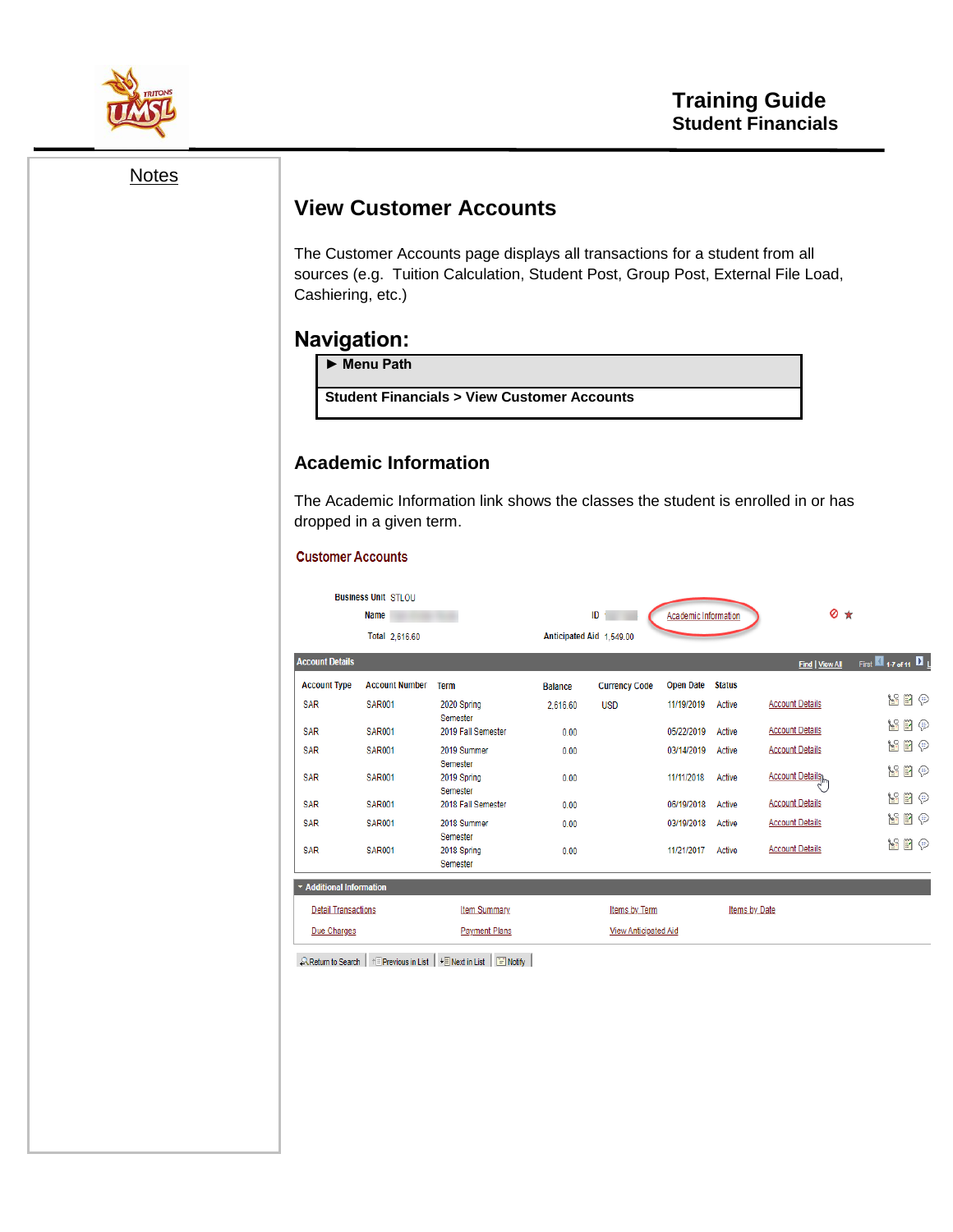

**Notes** 

## **View Customer Accounts**

The Customer Accounts page displays all transactions for a student from all sources (e.g. Tuition Calculation, Student Post, Group Post, External File Load, Cashiering, etc.)

### **Navigation:**

► **Menu Path** 

**Student Financials > View Customer Accounts**

#### **Academic Information**

The Academic Information link shows the classes the student is enrolled in or has dropped in a given term.

#### **Customer Accounts**

| <b>Account Details</b><br><b>Find   View All</b><br><b>Account Number</b><br><b>Open Date</b><br><b>Account Type</b><br><b>Status</b><br><b>Term</b><br><b>Currency Code</b><br><b>Balance</b><br><b>Account Details</b><br><b>SAR</b><br><b>SAR001</b><br>2020 Spring<br>11/19/2019<br>Active<br><b>USD</b><br>2.616.60<br>Semester<br><b>Account Details</b><br><b>SAR</b><br><b>SAR001</b><br>2019 Fall Semester<br>05/22/2019<br>Active<br>0.00<br><b>Account Details</b><br><b>SAR</b><br><b>SAR001</b><br>2019 Summer<br>03/14/2019<br>0.00<br>Active<br>Semester<br><b>Account Details</b><br><b>SAR</b><br><b>SAR001</b><br>11/11/2018<br>2019 Spring<br>Active<br>0.00<br>Semester<br><b>Account Details</b><br><b>SAR</b><br><b>SAR001</b><br>2018 Fall Semester<br>06/19/2018<br>Active<br>0.00<br><b>Account Details</b><br><b>SAR</b><br><b>SAR001</b><br>2018 Summer<br>03/19/2018<br>Active<br>0.00<br>Semester<br><b>Account Details</b><br><b>SAR</b><br><b>SAR001</b><br>11/21/2017<br>2018 Spring<br>Active<br>0.00<br>Semester<br>* Additional Information |                          | $\circ$ $\star$ | <b>Academic Information</b> | ID<br>Anticipated Aid 1.549.00 |  | <b>Business Unit STLOU</b><br><b>Name</b><br>Total 2,616.60 |  |
|--------------------------------------------------------------------------------------------------------------------------------------------------------------------------------------------------------------------------------------------------------------------------------------------------------------------------------------------------------------------------------------------------------------------------------------------------------------------------------------------------------------------------------------------------------------------------------------------------------------------------------------------------------------------------------------------------------------------------------------------------------------------------------------------------------------------------------------------------------------------------------------------------------------------------------------------------------------------------------------------------------------------------------------------------------------------------------|--------------------------|-----------------|-----------------------------|--------------------------------|--|-------------------------------------------------------------|--|
|                                                                                                                                                                                                                                                                                                                                                                                                                                                                                                                                                                                                                                                                                                                                                                                                                                                                                                                                                                                                                                                                                | First 17 of 11           |                 |                             |                                |  |                                                             |  |
|                                                                                                                                                                                                                                                                                                                                                                                                                                                                                                                                                                                                                                                                                                                                                                                                                                                                                                                                                                                                                                                                                |                          |                 |                             |                                |  |                                                             |  |
|                                                                                                                                                                                                                                                                                                                                                                                                                                                                                                                                                                                                                                                                                                                                                                                                                                                                                                                                                                                                                                                                                | $\mathbb{F} \odot$<br>γ. |                 |                             |                                |  |                                                             |  |
|                                                                                                                                                                                                                                                                                                                                                                                                                                                                                                                                                                                                                                                                                                                                                                                                                                                                                                                                                                                                                                                                                | $\blacksquare$<br>Υ.     |                 |                             |                                |  |                                                             |  |
|                                                                                                                                                                                                                                                                                                                                                                                                                                                                                                                                                                                                                                                                                                                                                                                                                                                                                                                                                                                                                                                                                | 屋<br>EY<br>⊜             |                 |                             |                                |  |                                                             |  |
|                                                                                                                                                                                                                                                                                                                                                                                                                                                                                                                                                                                                                                                                                                                                                                                                                                                                                                                                                                                                                                                                                | Υř<br>$\mathbb{F} \odot$ |                 |                             |                                |  |                                                             |  |
|                                                                                                                                                                                                                                                                                                                                                                                                                                                                                                                                                                                                                                                                                                                                                                                                                                                                                                                                                                                                                                                                                | $\blacksquare$<br>Ŋβ.    |                 |                             |                                |  |                                                             |  |
|                                                                                                                                                                                                                                                                                                                                                                                                                                                                                                                                                                                                                                                                                                                                                                                                                                                                                                                                                                                                                                                                                | $\mathbb{P}\oplus$<br>Υř |                 |                             |                                |  |                                                             |  |
|                                                                                                                                                                                                                                                                                                                                                                                                                                                                                                                                                                                                                                                                                                                                                                                                                                                                                                                                                                                                                                                                                | γ.<br>$\mathbb{F}\oplus$ |                 |                             |                                |  |                                                             |  |
|                                                                                                                                                                                                                                                                                                                                                                                                                                                                                                                                                                                                                                                                                                                                                                                                                                                                                                                                                                                                                                                                                |                          |                 |                             |                                |  |                                                             |  |
| <b>Detail Transactions</b><br><b>Item Summary</b><br>Items by Term<br>Items by Date                                                                                                                                                                                                                                                                                                                                                                                                                                                                                                                                                                                                                                                                                                                                                                                                                                                                                                                                                                                            |                          |                 |                             |                                |  |                                                             |  |
| Due Charges<br><b>Payment Plans</b><br><b>View Anticipated Aid</b>                                                                                                                                                                                                                                                                                                                                                                                                                                                                                                                                                                                                                                                                                                                                                                                                                                                                                                                                                                                                             |                          |                 |                             |                                |  |                                                             |  |

 $\mathcal{L}$  Return to Search  $\left|\begin{array}{c|c} \text{ } & \text{ }\end{array}\right|$  +  $\text{ }$  Previous in List  $\left|\begin{array}{c|c} \text{ } & \text{ }\end{array}\right|$   $\text{ }$  Rext in List  $\left|\begin{array}{c|c} \text{ } & \text{ }\end{array}\right|$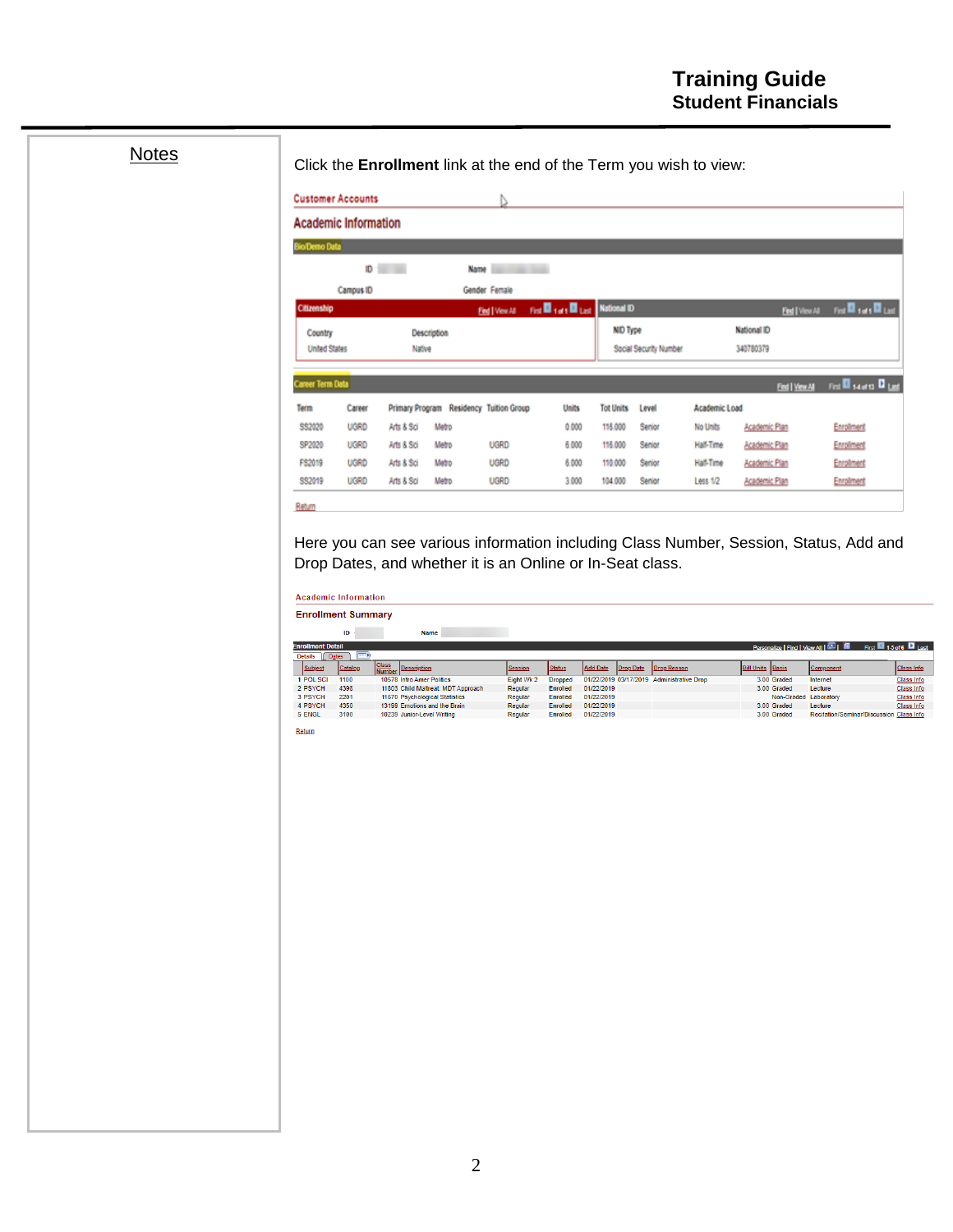# **Notes**

Click the **Enrollment** link at the end of the Term you wish to view:

|                                    | <b>Academic Information</b> |                                         |       |                 |                                       |                  |                        |               |                    |                                      |
|------------------------------------|-----------------------------|-----------------------------------------|-------|-----------------|---------------------------------------|------------------|------------------------|---------------|--------------------|--------------------------------------|
| <b>BioDemo Data</b>                |                             |                                         |       |                 |                                       |                  |                        |               |                    |                                      |
|                                    |                             | $\mathbf{D}$ $\mathbf{D}$               | Name  | ---             |                                       |                  |                        |               |                    |                                      |
|                                    | Campus ID                   |                                         |       | Gender Female   |                                       |                  |                        |               |                    |                                      |
| Citizenship                        |                             |                                         |       | Find   View All | First <b>E</b> 1 at 1 Last National D |                  |                        |               | Find   View All    | First <b>Ell</b> sure El Lust        |
| Country                            |                             | Description                             |       |                 |                                       | NID Type         |                        |               | <b>National ID</b> |                                      |
| <b>United States</b>               |                             | Native                                  |       |                 |                                       |                  | Social Security Number |               | 340780379          |                                      |
| Career Term Data                   |                             |                                         |       |                 |                                       |                  |                        |               | Find   View All    | First <b>El</b> salato <b>El</b> Les |
|                                    | Career                      | Primary Program Residency Tuition Group |       |                 | <b>Units</b>                          | <b>Tot Units</b> | Level                  | Academic Load |                    |                                      |
|                                    |                             | Arts & Sci                              | Metro |                 | 0.000                                 | 115,000          | Senior                 | No Units      | Academic Plan      | Enrolment                            |
|                                    | <b>UGRD</b>                 |                                         |       | <b>UGRD</b>     | 6.000                                 | 115,000          | Senior                 | Half-Time     | Academic Plan      | Enrolment                            |
|                                    | <b>UGRD</b>                 | Arts & Sci                              | Metro |                 |                                       |                  |                        |               |                    |                                      |
| Term<br>SS2020<br>SP2020<br>FS2019 | <b>UGRD</b>                 | Arts & Sci                              | Metro | <b>UGRD</b>     | 6.000                                 | 110,000          | Senior                 | Hall-Time     | Academic Plan      | Enrolment                            |

Here you can see various information including Class Number, Session, Status, Add and Drop Dates, and whether it is an Online or In-Seat class.

|                            | <b>Enrollment Summary</b> |                        |                                    |                |                |                 |                  |                                           |                         |                       |                                                                                    |                   |
|----------------------------|---------------------------|------------------------|------------------------------------|----------------|----------------|-----------------|------------------|-------------------------------------------|-------------------------|-----------------------|------------------------------------------------------------------------------------|-------------------|
|                            | ID                        |                        | Name                               |                |                |                 |                  |                                           |                         |                       |                                                                                    |                   |
| <b>Enrollment Detail</b>   |                           |                        |                                    |                |                |                 |                  |                                           |                         |                       | First $\blacksquare$ 1-5 of 6 $\blacksquare$ Last<br>Personalize   Find   View All |                   |
| <b>Details</b><br>II Dates | $\Box$                    |                        |                                    |                |                |                 |                  |                                           |                         |                       |                                                                                    |                   |
| Subject                    | Catalog                   | <b>Class</b><br>Number | Description                        | <b>Session</b> | <b>Status</b>  | <b>Add Date</b> | <b>Drop Date</b> | <b>Drop Reason</b>                        | <b>Bill Units Basis</b> |                       | Component                                                                          | <b>Class Info</b> |
| 1 POL SCI                  | 1100                      |                        | 10578 Intro Amer Politics          | Eight Wk 2     | <b>Dropped</b> |                 |                  | 01/22/2019 03/17/2019 Administrative Drop |                         | 3.00 Graded           | Internet                                                                           | <b>Class Info</b> |
| 2 PSYCH                    | 4398                      |                        | 11803 Child Maltreat: MDT Approach | Regular        | Enrolled       | 01/22/2019      |                  |                                           |                         | 3.00 Graded           | Lecture                                                                            | <b>Class Info</b> |
|                            | 2201                      |                        | 11670 Psychological Statistics     | Regular        | Enrolled       | 01/22/2019      |                  |                                           |                         | Non-Graded Laboratory |                                                                                    | Class Info        |
|                            |                           |                        | 13199 Emotions and the Brain       | Regular        | Enrolled       | 01/22/2019      |                  |                                           |                         | 3.00 Graded           | Lecture                                                                            | Class Info        |
| 3 PSYCH<br>4 PSYCH         | 4350                      |                        |                                    |                | Enrolled       | 01/22/2019      |                  |                                           |                         | 3.00 Graded           | Recitation/Seminar/Discussion Class Info                                           |                   |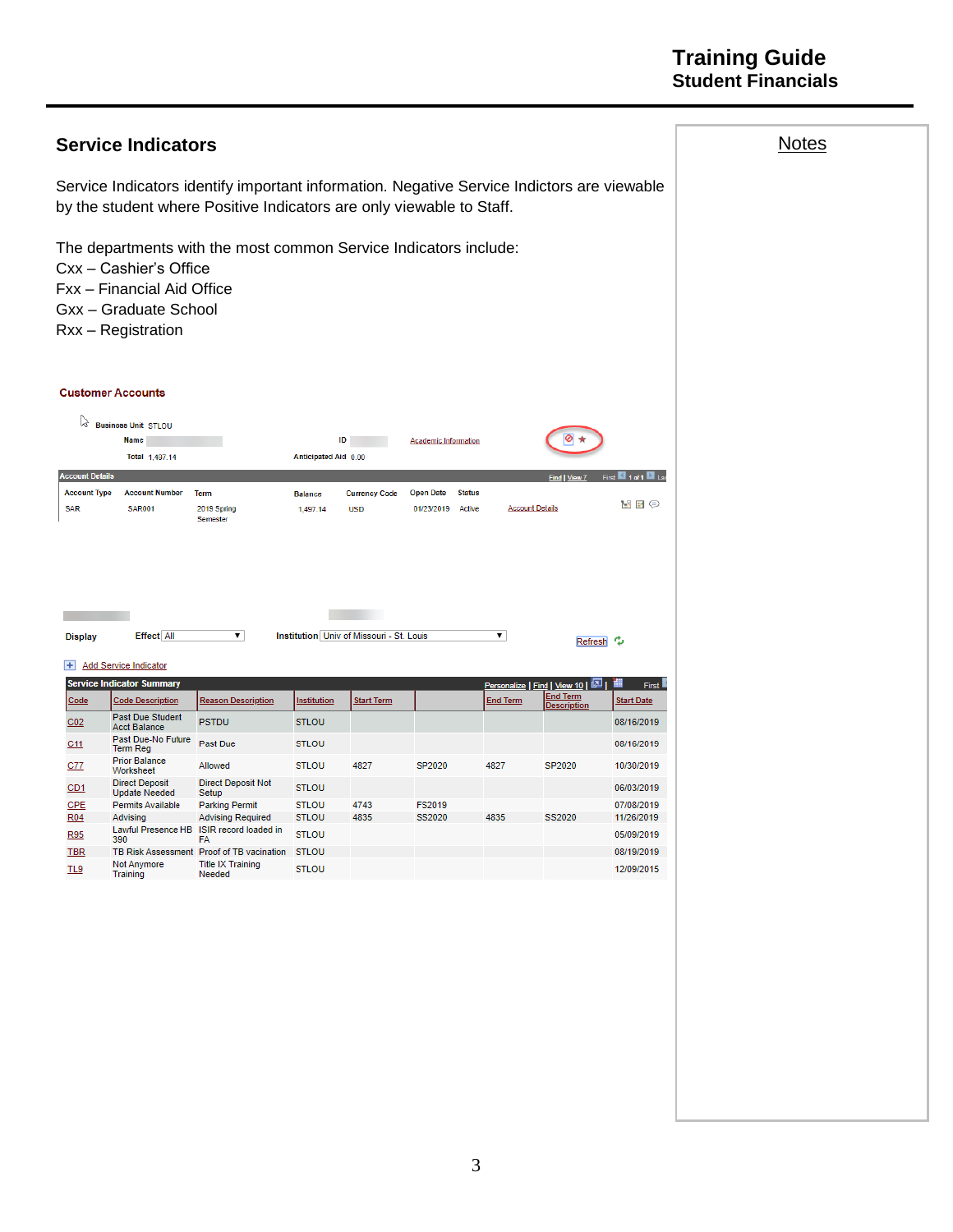## **Training Guide Student Financials**

|                                                             | <b>Service Indicators</b>                                                                           |                                                                                                                                                                    |                              |                                          |                                                           |                        |                                                           |                          | <b>Notes</b> |
|-------------------------------------------------------------|-----------------------------------------------------------------------------------------------------|--------------------------------------------------------------------------------------------------------------------------------------------------------------------|------------------------------|------------------------------------------|-----------------------------------------------------------|------------------------|-----------------------------------------------------------|--------------------------|--------------|
|                                                             |                                                                                                     | Service Indicators identify important information. Negative Service Indictors are viewable<br>by the student where Positive Indicators are only viewable to Staff. |                              |                                          |                                                           |                        |                                                           |                          |              |
|                                                             | Cxx - Cashier's Office<br>Fxx - Financial Aid Office<br>Gxx - Graduate School<br>Rxx - Registration | The departments with the most common Service Indicators include:                                                                                                   |                              |                                          |                                                           |                        |                                                           |                          |              |
|                                                             | <b>Customer Accounts</b>                                                                            |                                                                                                                                                                    |                              |                                          |                                                           |                        |                                                           |                          |              |
| じ                                                           | <b>Business Unit STLOU</b><br>Name<br>Total 1,497.14                                                |                                                                                                                                                                    | ID<br>Anticipated Aid 0.00   |                                          | <b>Academic Information</b>                               |                        |                                                           |                          |              |
| <b>Account Details</b><br><b>Account Type</b><br><b>SAR</b> | <b>Account Number</b><br><b>SAR001</b>                                                              | <b>Term</b><br>2019 Spring<br>Semester                                                                                                                             | <b>Balance</b><br>1,497.14   | <b>Currency Code</b><br><b>USD</b>       | <b>Open Date</b><br><b>Status</b><br>01/23/2019<br>Active | <b>Account Details</b> | <b>Find</b>                                               | MFO                      |              |
| <b>Display</b><br>Ŧ                                         | <b>Effect All</b><br><b>Add Service Indicator</b><br><b>Service Indicator Summary</b>               | ▼∣                                                                                                                                                                 |                              | Institution Univ of Missouri - St. Louis |                                                           | ▼                      | Refresh <sup> ?</sup><br>Personalize   Find   View 10   E | First <b>K</b>           |              |
| Code                                                        | <b>Code Description</b>                                                                             | <b>Reason Description</b>                                                                                                                                          | <b>Institution</b>           | <b>Start Term</b>                        |                                                           | <u>End Term</u>        | <b>End Term</b><br><b>Description</b>                     | <b>Start Date</b>        |              |
| C <sub>02</sub>                                             | <b>Past Due Student</b><br><b>Acct Balance</b>                                                      | <b>PSTDU</b>                                                                                                                                                       | <b>STLOU</b>                 |                                          |                                                           |                        |                                                           | 08/16/2019               |              |
| C11                                                         | Past Due-No Future<br>Term Reg                                                                      | Past Due                                                                                                                                                           | <b>STLOU</b>                 |                                          |                                                           |                        |                                                           | 08/16/2019               |              |
| C <sub>77</sub>                                             | <b>Prior Balance</b><br>Worksheet                                                                   | Allowed                                                                                                                                                            | <b>STLOU</b>                 | 4827                                     | SP2020                                                    | 4827                   | SP2020                                                    | 10/30/2019               |              |
| CD1                                                         | <b>Direct Deposit</b><br><b>Update Needed</b>                                                       | <b>Direct Deposit Not</b><br>Setup                                                                                                                                 | <b>STLOU</b>                 |                                          |                                                           |                        |                                                           | 06/03/2019               |              |
| CPE<br>R <sub>04</sub>                                      | Permits Available<br>Advisina                                                                       | <b>Parking Permit</b><br><b>Advising Required</b>                                                                                                                  | <b>STLOU</b><br><b>STLOU</b> | 4743<br>4835                             | FS2019<br>SS2020                                          | 4835                   | SS2020                                                    | 07/08/2019<br>11/26/2019 |              |
| R95                                                         | 390                                                                                                 | Lawful Presence HB ISIR record loaded in<br>FA                                                                                                                     | <b>STLOU</b>                 |                                          |                                                           |                        |                                                           | 05/09/2019               |              |
| <b>TBR</b>                                                  |                                                                                                     | TB Risk Assessment Proof of TB vacination STLOU                                                                                                                    |                              |                                          |                                                           |                        |                                                           | 08/19/2019               |              |
| TL9                                                         | Not Anymore<br>Training                                                                             | <b>Title IX Training</b><br>Needed                                                                                                                                 | <b>STLOU</b>                 |                                          |                                                           |                        |                                                           | 12/09/2015               |              |
|                                                             |                                                                                                     |                                                                                                                                                                    |                              |                                          |                                                           |                        |                                                           |                          |              |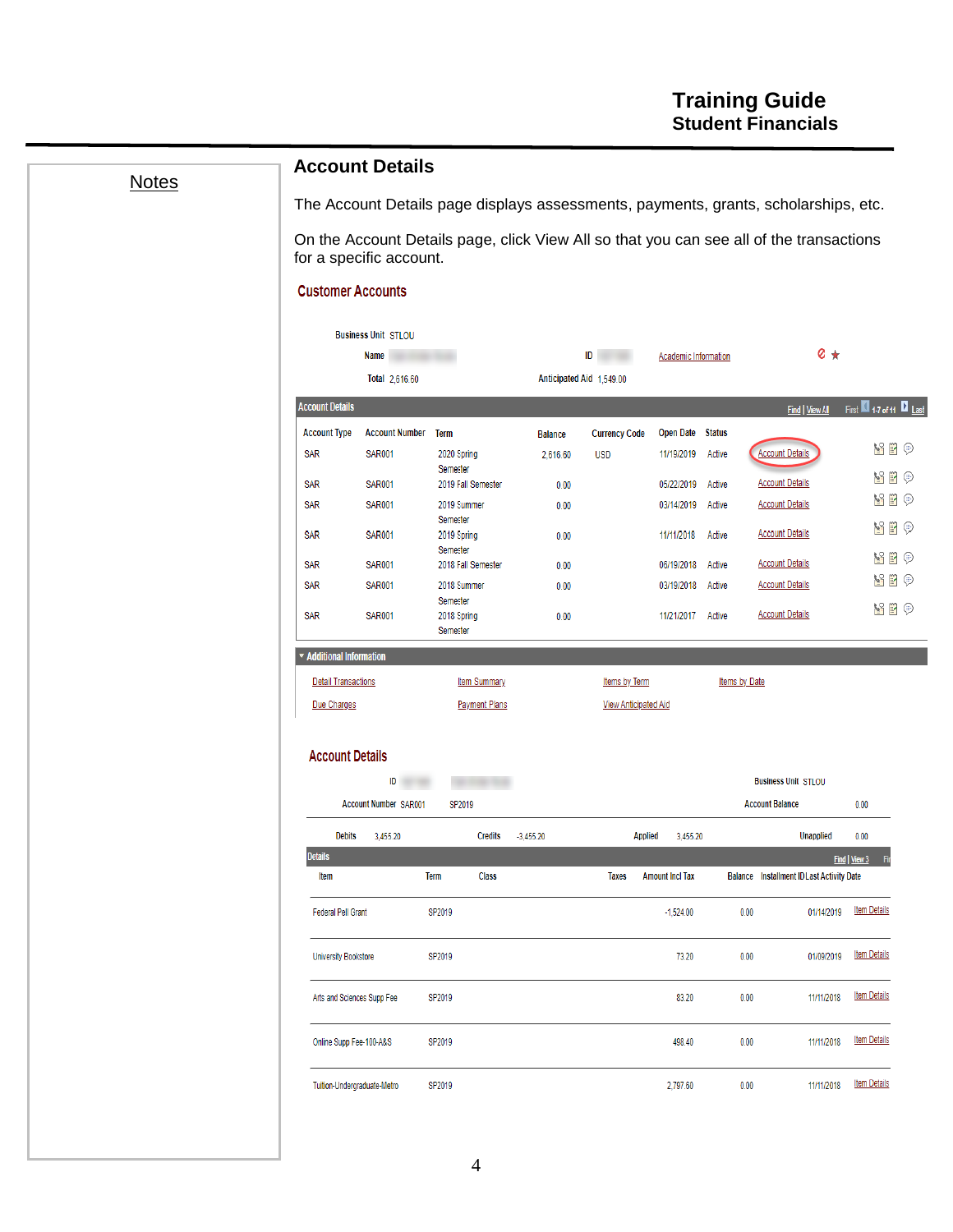| <b>Notes</b> |                             | <b>Account Details</b>             |                                |                          |                             |                             |                      | The Account Details page displays assessments, payments, grants, scholarships, etc.     |                           |
|--------------|-----------------------------|------------------------------------|--------------------------------|--------------------------|-----------------------------|-----------------------------|----------------------|-----------------------------------------------------------------------------------------|---------------------------|
|              |                             | for a specific account.            |                                |                          |                             |                             |                      | On the Account Details page, click View All so that you can see all of the transactions |                           |
|              | <b>Customer Accounts</b>    |                                    |                                |                          |                             |                             |                      |                                                                                         |                           |
|              |                             | <b>Business Unit STLOU</b>         |                                |                          |                             |                             |                      |                                                                                         |                           |
|              |                             | Name                               |                                |                          | ID                          | <b>Academic Information</b> |                      | $\circ$ $\star$                                                                         |                           |
|              | <b>Account Details</b>      | Total 2,616.60                     |                                | Anticipated Aid 1,549.00 |                             |                             |                      |                                                                                         | First 1-7 of 11 2 Last    |
|              | <b>Account Type</b>         | <b>Account Number Term</b>         |                                | <b>Balance</b>           | <b>Currency Code</b>        | Open Date Status            |                      | Find   View All                                                                         |                           |
|              | <b>SAR</b>                  | <b>SAR001</b>                      | 2020 Spring                    | 2,616.60                 | <b>USD</b>                  | 11/19/2019                  | Active               | <b>Account Details</b>                                                                  | Y B O                     |
|              | SAR                         | <b>SAR001</b>                      | Semester<br>2019 Fall Semester | 0.00                     |                             | 05/22/2019                  | Active               | <b>Account Details</b>                                                                  | <b>ME 9</b>               |
|              | <b>SAR</b>                  | <b>SAR001</b>                      | 2019 Summer                    | 0.00                     |                             | 03/14/2019                  | Active               | <b>Account Details</b>                                                                  | <u>v</u> p p              |
|              | SAR                         | <b>SAR001</b>                      | Semester<br>2019 Spring        | 0.00                     |                             | 11/11/2018                  | Active               | <b>Account Details</b>                                                                  | <b>ME 0</b>               |
|              | <b>SAR</b>                  | <b>SAR001</b>                      | Semester<br>2018 Fall Semester | 0.00                     |                             | 06/19/2018                  | Active               | <b>Account Details</b>                                                                  | Y B O                     |
|              | <b>SAR</b>                  | <b>SAR001</b>                      | 2018 Summer                    | 0.00                     |                             | 03/19/2018                  | Active               | <b>Account Details</b>                                                                  | $\mathbf{N} \otimes$      |
|              | <b>SAR</b>                  | <b>SAR001</b>                      | Semester<br>2018 Spring        | 0.00                     |                             | 11/21/2017                  | Active               | <b>Account Details</b>                                                                  | y i o                     |
|              | * Additional Information    |                                    | Semester                       |                          |                             |                             |                      |                                                                                         |                           |
|              | <b>Detail Transactions</b>  |                                    | <b>Item Summary</b>            |                          | Items by Term               |                             | <b>Items by Date</b> |                                                                                         |                           |
|              | Due Charges                 |                                    | <b>Payment Plans</b>           |                          | <b>View Anticipated Aid</b> |                             |                      |                                                                                         |                           |
|              |                             |                                    |                                |                          |                             |                             |                      |                                                                                         |                           |
|              | <b>Account Details</b>      |                                    |                                |                          |                             |                             |                      |                                                                                         |                           |
|              |                             | ID<br><b>Account Number SAR001</b> | SP2019                         |                          |                             |                             |                      | <b>Business Unit STLOU</b><br><b>Account Balance</b>                                    |                           |
|              |                             |                                    |                                |                          |                             |                             |                      |                                                                                         | 0.00                      |
|              | <b>Debits</b><br>Details    | 3,455.20                           | <b>Credits</b>                 | $-3,455.20$              | <b>Applied</b>              | 3,455.20                    |                      | <b>Unapplied</b>                                                                        | 0.00<br>Find   View 3 Fin |
|              | ltem                        |                                    | <b>Class</b><br>Term           |                          | <b>Taxes</b>                | <b>Amount Incl Tax</b>      |                      | <b>Balance</b> Installment ID Last Activity Date                                        |                           |
|              | <b>Federal Pell Grant</b>   |                                    | SP2019                         |                          |                             | $-1,524.00$                 | 0.00                 | 01/14/2019                                                                              | <b>Item Details</b>       |
|              | <b>University Bookstore</b> |                                    | SP2019                         |                          |                             | 73.20                       | 0.00                 | 01/09/2019                                                                              | <b>Item Details</b>       |
|              | Arts and Sciences Supp Fee  |                                    | SP2019                         |                          |                             | 83.20                       | 0.00                 | 11/11/2018                                                                              | <b>Item Details</b>       |
|              | Online Supp Fee-100-A&S     |                                    | SP2019                         |                          |                             | 498.40                      | 0.00                 | 11/11/2018                                                                              | <b>Item Details</b>       |
|              | Tuition-Undergraduate-Metro |                                    | SP2019                         |                          |                             | 2,797.60                    | 0.00                 | 11/11/2018                                                                              | <b>Item Details</b>       |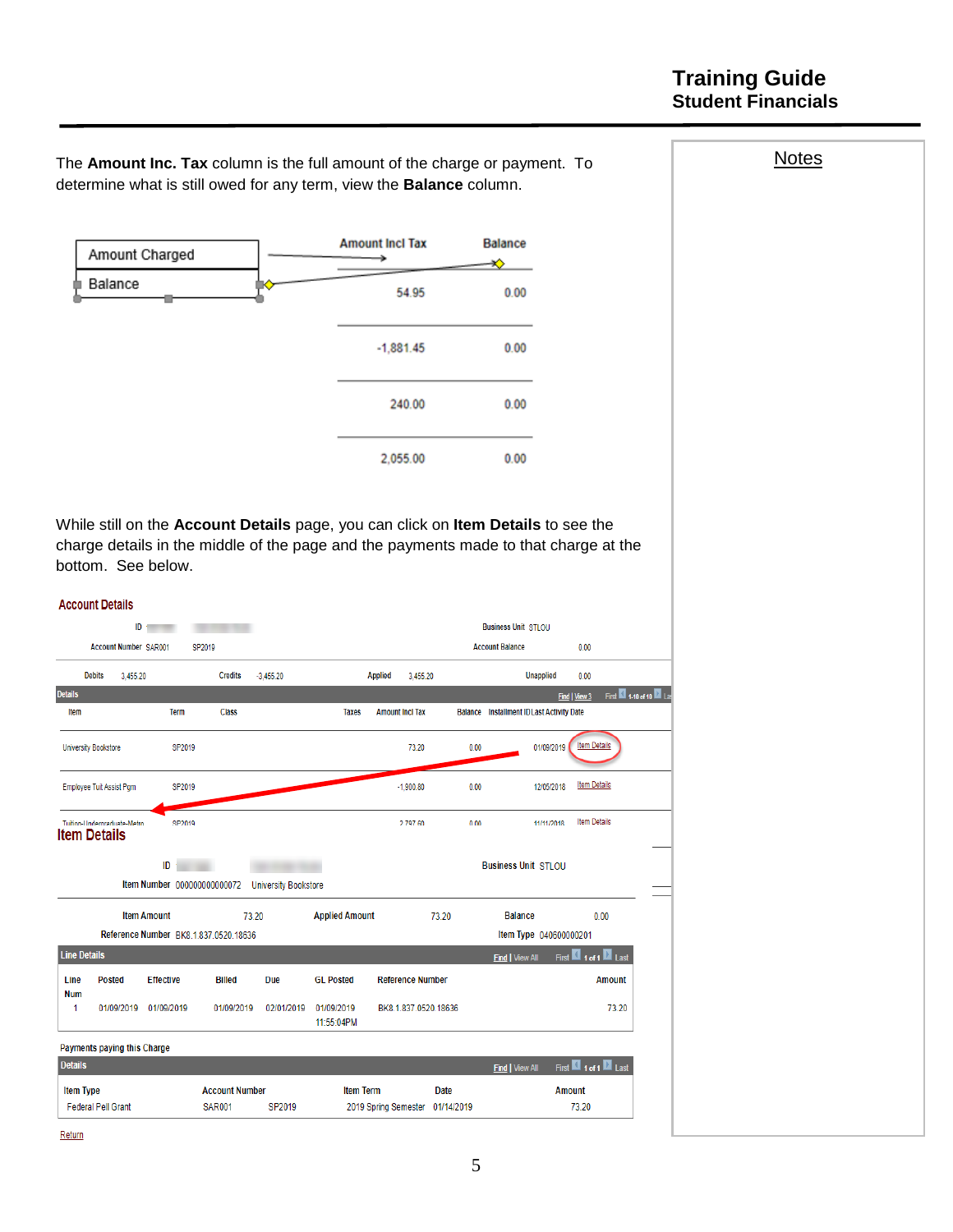## **Training Guide Student Financials**

The **Amount Inc. Tax** column is the full amount of the charge or payment. To determine what is still owed for any term, view the **Balance** column.



While still on the **Account Details** page, you can click on **Item Details** to see the charge details in the middle of the page and the payments made to that charge at the bottom. See below.

|                                    | <b>Account Details</b>                             |                                   |                                       |                             |                          |                            |       |                                                  |                                        |
|------------------------------------|----------------------------------------------------|-----------------------------------|---------------------------------------|-----------------------------|--------------------------|----------------------------|-------|--------------------------------------------------|----------------------------------------|
|                                    | ID                                                 |                                   |                                       |                             |                          |                            |       | <b>Business Unit STLOU</b>                       |                                        |
|                                    | <b>Account Number SAR001</b>                       |                                   | SP2019                                |                             |                          |                            |       | <b>Account Balance</b>                           | 0.00                                   |
|                                    | <b>Debits</b><br>3.455.20                          |                                   | <b>Credits</b>                        | $-3.455.20$                 |                          | <b>Applied</b><br>3.455.20 |       | <b>Unapplied</b>                                 | 0.00                                   |
| <b>Details</b>                     |                                                    |                                   |                                       |                             |                          |                            |       |                                                  | First 1410 of 10 2 La<br>Find   View 3 |
| Item                               |                                                    | Term                              | <b>Class</b>                          |                             | <b>Taxes</b>             | <b>Amount Incl Tax</b>     |       | <b>Balance</b> Installment ID Last Activity Date |                                        |
|                                    | <b>University Bookstore</b>                        | SP2019                            |                                       |                             |                          | 73.20                      | 0.00  | 01/09/2019                                       | <b>Item Details</b>                    |
|                                    | Employee Tuit Assist Pgm                           | SP2019                            |                                       |                             |                          | $-1.900.80$                | 0.00  | 12/05/2018                                       | <b>Item Details</b>                    |
|                                    | Tuition-Undergraduate-Metro<br><b>Item Details</b> | SP2019                            |                                       |                             |                          | 2 797 60                   | 0.00  | 11/11/2018                                       | <b>Item Details</b>                    |
|                                    |                                                    | ID<br>Item Number 000000000000072 |                                       | <b>University Bookstore</b> |                          |                            |       | <b>Business Unit STLOU</b>                       |                                        |
|                                    |                                                    | <b>Item Amount</b>                | 73.20                                 |                             | <b>Applied Amount</b>    |                            | 73.20 | <b>Balance</b>                                   | 0.00                                   |
|                                    |                                                    |                                   | Reference Number BK8.1.837.0520.18636 |                             |                          |                            |       | Item Type 040600000201                           |                                        |
| <b>Line Details</b>                |                                                    |                                   |                                       |                             |                          |                            |       | <b>Find   View All</b>                           | First 1 of 1 Last                      |
| Line<br><b>Num</b>                 | <b>Posted</b>                                      | <b>Effective</b>                  | <b>Billed</b>                         | Due                         | <b>GL Posted</b>         | <b>Reference Number</b>    |       |                                                  | <b>Amount</b>                          |
| 1                                  | 01/09/2019                                         | 01/09/2019                        | 01/09/2019                            | 02/01/2019                  | 01/09/2019<br>11:55:04PM | BK8.1.837.0520.18636       |       |                                                  | 73.20                                  |
|                                    |                                                    |                                   |                                       |                             |                          |                            |       |                                                  |                                        |
|                                    | Payments paying this Charge                        |                                   |                                       |                             |                          |                            |       |                                                  |                                        |
|                                    |                                                    |                                   |                                       |                             |                          |                            |       | <b>Find   View All</b>                           | First 1 of 1 Last                      |
| <b>Details</b><br><b>Item Type</b> |                                                    |                                   | <b>Account Number</b>                 |                             | <b>Item Term</b>         |                            | Date  |                                                  | <b>Amount</b>                          |

Return

**Notes**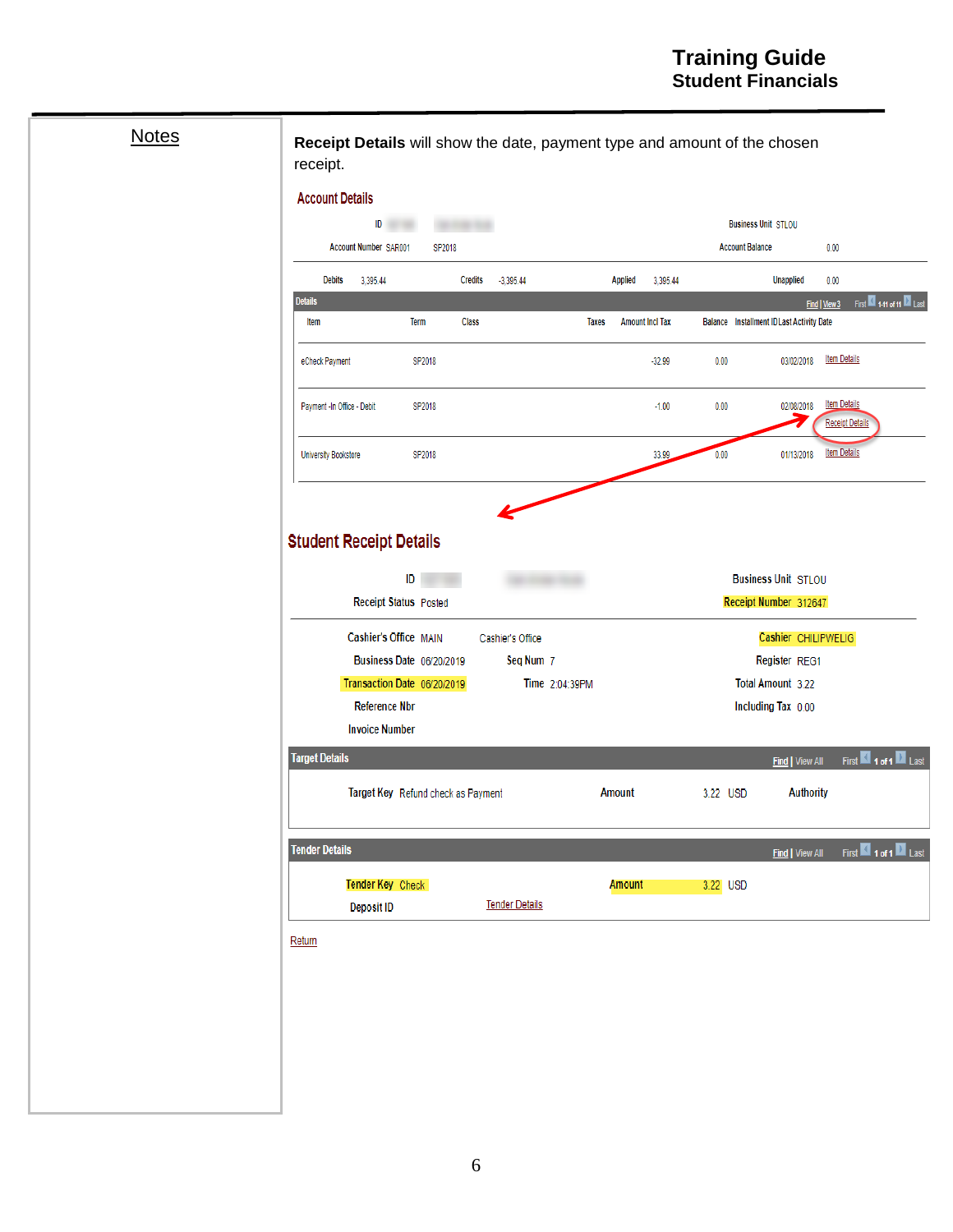# **Notes**

**Receipt Details** will show the date, payment type and amount of the chosen receipt.

| <b>Debits</b>               | 3,395.44                                                                         |             | <b>Credits</b> | $-3,395.44$                   |                | <b>Applied</b> | 3,395.44               |          | <b>Unapplied</b>                                          | 0.00                                          |
|-----------------------------|----------------------------------------------------------------------------------|-------------|----------------|-------------------------------|----------------|----------------|------------------------|----------|-----------------------------------------------------------|-----------------------------------------------|
| <b>Details</b>              |                                                                                  |             |                |                               |                |                |                        |          |                                                           | First 1411 of 11 2 Last<br>Find   View 3      |
| ltem                        |                                                                                  | <b>Term</b> | <b>Class</b>   |                               | <b>Taxes</b>   |                | <b>Amount Incl Tax</b> |          | <b>Balance</b> Installment ID Last Activity Date          |                                               |
| eCheck Payment              |                                                                                  | SP2018      |                |                               |                |                | $-32.99$               | 0.00     | 03/02/2018                                                | <b>Item Details</b>                           |
| Payment -In Office - Debit  |                                                                                  | SP2018      |                |                               |                |                | $-1.00$                | 0.00     | 02/08/2018<br>7                                           | <b>Item Details</b><br><b>Receipt Details</b> |
| <b>University Bookstore</b> |                                                                                  | SP2018      |                |                               |                |                | 33.99                  | 0.00     | 01/13/2018                                                | <b>Item Details</b>                           |
|                             | Cashier's Office MAIN<br>Business Date 06/20/2019<br>Transaction Date 06/20/2019 |             |                | Cashier's Office<br>Seq Num 7 | Time 2:04:39PM |                |                        |          | Cashier CHILIPWELIG<br>Register REG1<br>Total Amount 3.22 |                                               |
|                             | <b>Reference Nbr</b>                                                             |             |                |                               |                |                |                        |          | Including Tax 0.00                                        |                                               |
| <b>Target Details</b>       | <b>Invoice Number</b>                                                            |             |                |                               |                |                |                        |          |                                                           |                                               |
|                             | Target Key Refund check as Payment                                               |             |                |                               |                | Amount         |                        | 3.22 USD | <b>Find   View All</b><br><b>Authority</b>                | First 1 of 1 Last                             |
| <b>Tender Details</b>       |                                                                                  |             |                |                               |                |                |                        |          | <b>Find   View All</b>                                    | First 1 of 1 Last                             |
|                             | Tender Key Check                                                                 |             |                |                               |                | Amount         |                        | 3.22 USD |                                                           |                                               |
|                             | <b>Deposit ID</b>                                                                |             |                | <b>Tender Details</b>         |                |                |                        |          |                                                           |                                               |
|                             |                                                                                  |             |                |                               |                |                |                        |          |                                                           |                                               |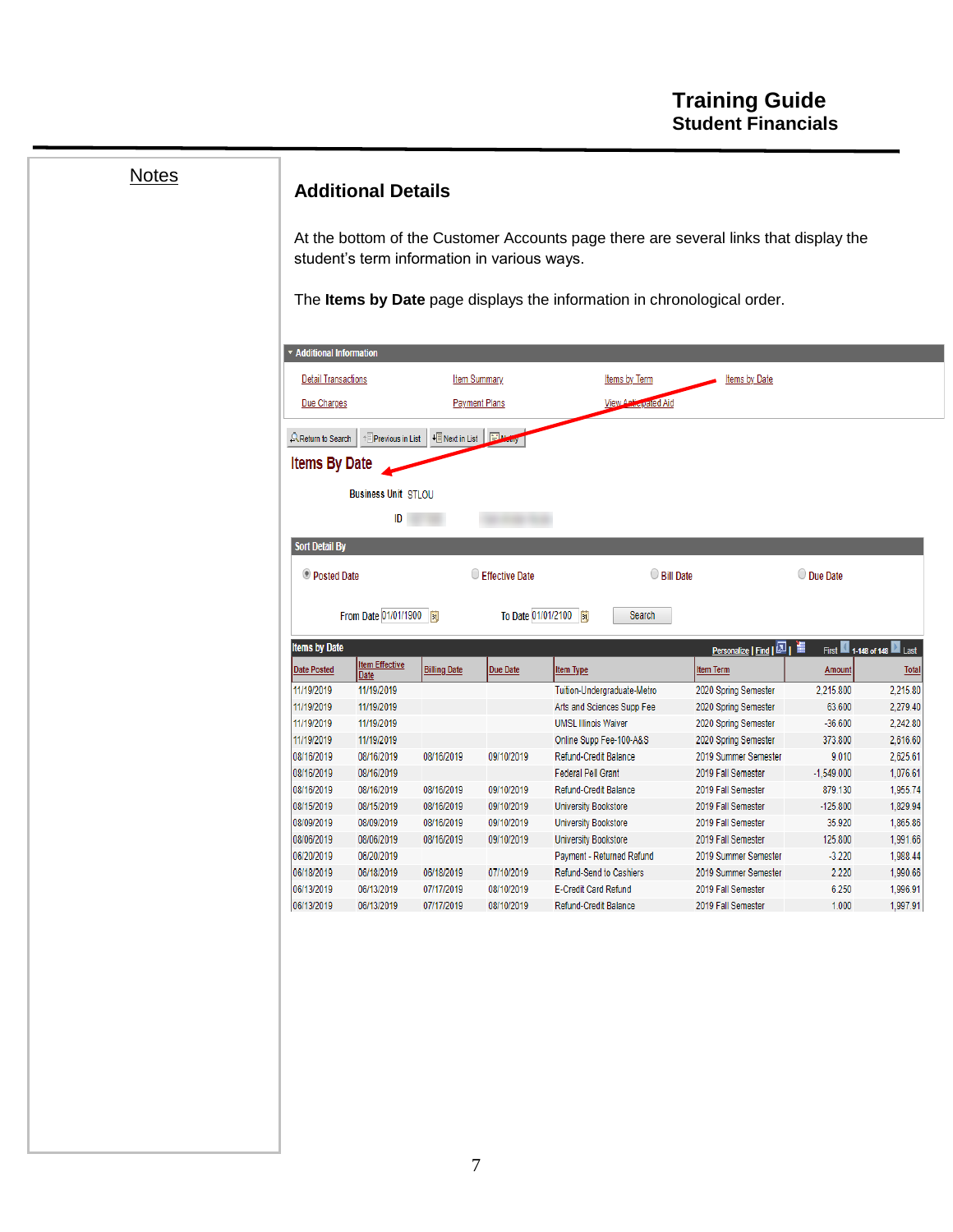| <b>Notes</b> |                                 | <b>Additional Details</b>                   |                          |                      |                                                                                      |                                          |                           |                      |
|--------------|---------------------------------|---------------------------------------------|--------------------------|----------------------|--------------------------------------------------------------------------------------|------------------------------------------|---------------------------|----------------------|
|              |                                 | student's term information in various ways. |                          |                      | At the bottom of the Customer Accounts page there are several links that display the |                                          |                           |                      |
|              |                                 |                                             |                          |                      | The Items by Date page displays the information in chronological order.              |                                          |                           |                      |
|              |                                 |                                             |                          |                      |                                                                                      |                                          |                           |                      |
|              | <b>* Additional Information</b> |                                             |                          |                      |                                                                                      |                                          |                           |                      |
|              | <b>Detail Transactions</b>      |                                             |                          | <b>Item Summary</b>  | <b>Items by Term</b>                                                                 | <b>Items by Date</b>                     |                           |                      |
|              | Due Charges                     |                                             |                          | <b>Payment Plans</b> | <b>View Anticipated Aid</b>                                                          |                                          |                           |                      |
|              | <b>AReturn to Search</b>        | <sup>+</sup> Previous in List               | + Next in List El Methy  |                      |                                                                                      |                                          |                           |                      |
|              | <b>Items By Date</b>            |                                             |                          |                      |                                                                                      |                                          |                           |                      |
|              |                                 | <b>Business Unit STLOU</b>                  |                          |                      |                                                                                      |                                          |                           |                      |
|              |                                 | ID                                          |                          |                      |                                                                                      |                                          |                           |                      |
|              |                                 |                                             |                          |                      |                                                                                      |                                          |                           |                      |
|              | <b>Sort Detail By</b>           |                                             |                          |                      |                                                                                      |                                          |                           |                      |
|              | <b>Posted Date</b>              |                                             |                          | Effective Date       | $\bigcirc$ Bill Date                                                                 |                                          | O Due Date                |                      |
|              |                                 |                                             |                          |                      |                                                                                      |                                          |                           |                      |
|              |                                 | From Date 01/01/1900                        |                          |                      | To Date 01/01/2100<br>Search                                                         |                                          |                           |                      |
|              | <b>Items by Date</b>            |                                             |                          |                      |                                                                                      |                                          | First 1-148 of 148 2 Last |                      |
|              | <b>Date Posted</b>              | <b>Item Effective</b>                       | <b>Billing Date</b>      | Due Date             | <b>Item Type</b>                                                                     | <b>Item Term</b>                         | <b>Amount</b>             | <b>Total</b>         |
|              | 11/19/2019                      | Date<br>11/19/2019                          |                          |                      | Tuition-Undergraduate-Metro                                                          | 2020 Spring Semester                     | 2,215.800                 | 2,215.80             |
|              | 11/19/2019                      | 11/19/2019                                  |                          |                      | Arts and Sciences Supp Fee                                                           | 2020 Spring Semester                     | 63.600                    | 2,279.40             |
|              | 11/19/2019                      | 11/19/2019                                  |                          |                      | <b>UMSL Illinois Waiver</b>                                                          | 2020 Spring Semester                     | $-36.600$                 | 2,242.80             |
|              | 11/19/2019                      | 11/19/2019                                  |                          |                      | Online Supp Fee-100-A&S                                                              | 2020 Spring Semester                     | 373.800                   | 2,616.60             |
|              | 08/16/2019                      | 08/16/2019                                  | 08/16/2019               | 09/10/2019           | Refund-Credit Balance                                                                | 2019 Summer Semester                     | 9.010                     | 2,625.61             |
|              | 08/16/2019                      | 08/16/2019                                  |                          |                      | <b>Federal Pell Grant</b>                                                            | 2019 Fall Semester                       | $-1,549.000$              | 1,076.61             |
|              | 08/16/2019                      | 08/16/2019                                  | 08/16/2019               | 09/10/2019           | Refund-Credit Balance                                                                | 2019 Fall Semester                       | 879.130                   | 1,955.74             |
|              | 08/15/2019                      | 08/15/2019                                  | 08/16/2019               | 09/10/2019           | <b>University Bookstore</b>                                                          | 2019 Fall Semester                       | $-125.800$                | 1,829.94             |
|              | 08/09/2019                      | 08/09/2019                                  | 08/16/2019               | 09/10/2019           | <b>University Bookstore</b>                                                          | 2019 Fall Semester                       | 35.920                    | 1,865.86             |
|              | 08/06/2019                      | 08/06/2019                                  | 08/16/2019               | 09/10/2019           | <b>University Bookstore</b>                                                          | 2019 Fall Semester                       | 125.800                   | 1,991.66             |
|              | 06/20/2019                      | 06/20/2019                                  |                          |                      | Payment - Returned Refund                                                            | 2019 Summer Semester                     | $-3.220$                  | 1,988.44             |
|              | 06/18/2019                      | 06/18/2019                                  | 06/18/2019               | 07/10/2019           | Refund-Send to Cashiers                                                              | 2019 Summer Semester                     | 2.220                     | 1,990.66             |
|              | 06/13/2019<br>06/13/2019        | 06/13/2019                                  | 07/17/2019<br>07/17/2019 | 08/10/2019           | E-Credit Card Refund                                                                 | 2019 Fall Semester<br>2019 Fall Semester | 6.250<br>1.000            | 1,996.91<br>1,997.91 |
|              |                                 | 06/13/2019                                  |                          | 08/10/2019           | Refund-Credit Balance                                                                |                                          |                           |                      |
|              |                                 |                                             |                          |                      |                                                                                      |                                          |                           |                      |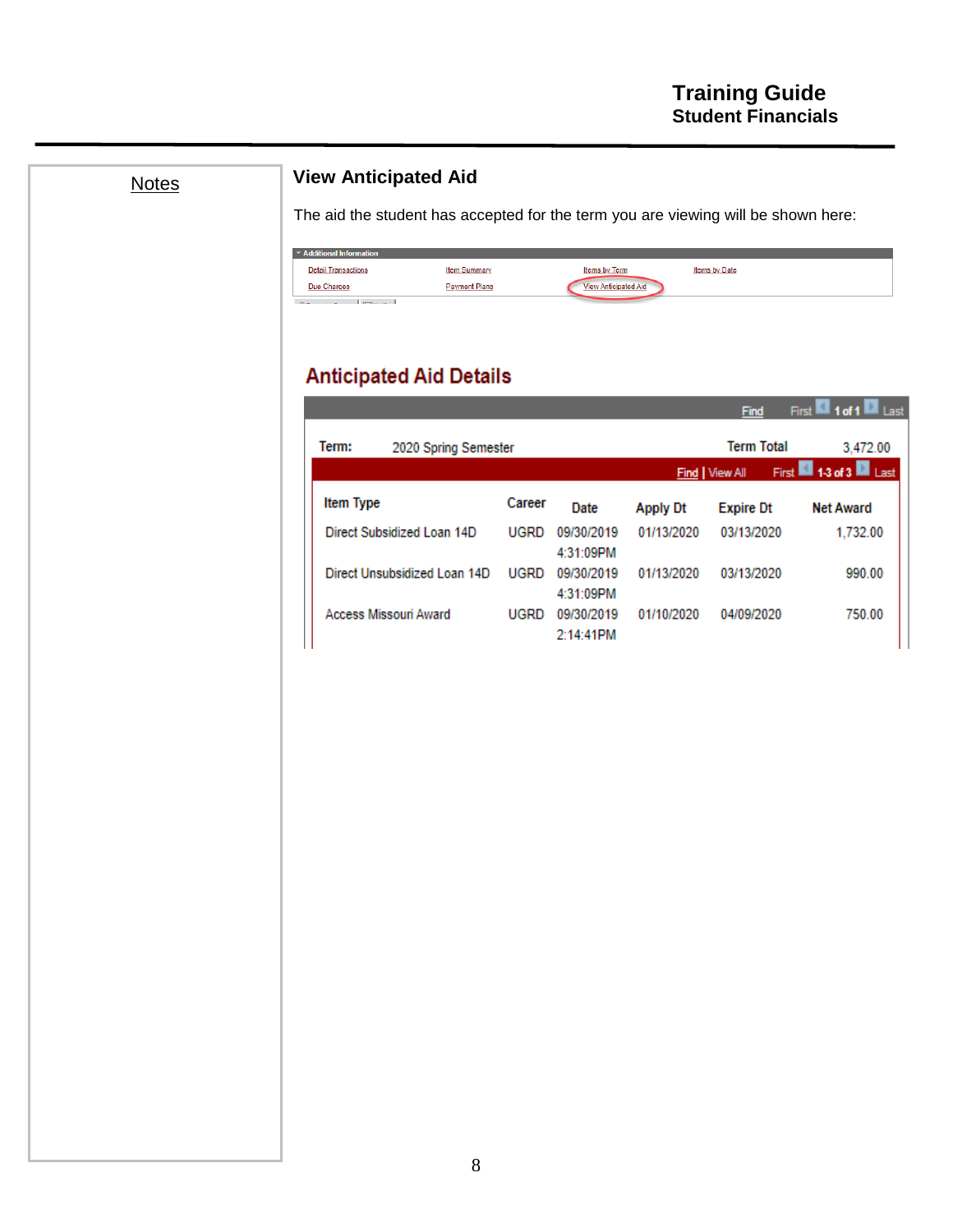**The March M** 

## **View Anticipated Aid**

The aid the student has accepted for the term you are viewing will be shown here:

| Additional Information                                                                   |                      |                             |               |
|------------------------------------------------------------------------------------------|----------------------|-----------------------------|---------------|
| <b>Detail Transactions</b>                                                               | <b>Item Summary</b>  | <b>Items by Term</b>        | Items by Date |
| Due Charges                                                                              | <b>Payment Plans</b> | <b>View Anticipated Aid</b> |               |
| contract the contract of the contract of the contract of the contract of the contract of |                      |                             |               |

# **Anticipated Aid Details**

|           |                              |             |                         |                 | rma               | riist l<br>.<br>l Last |
|-----------|------------------------------|-------------|-------------------------|-----------------|-------------------|------------------------|
| Term:     | 2020 Spring Semester         |             |                         |                 | <b>Term Total</b> | 3.472.00               |
|           |                              |             |                         |                 | Find   View All   | First 13 of 3 Last     |
| Item Type |                              | Career      | Date                    | <b>Apply Dt</b> | <b>Expire Dt</b>  | <b>Net Award</b>       |
|           | Direct Subsidized Loan 14D   | <b>UGRD</b> | 09/30/2019<br>4:31:09PM | 01/13/2020      | 03/13/2020        | 1.732.00               |
|           | Direct Unsubsidized Loan 14D | <b>UGRD</b> | 09/30/2019<br>4:31:09PM | 01/13/2020      | 03/13/2020        | 990.00                 |
|           | <b>Access Missouri Award</b> | <b>UGRD</b> | 09/30/2019<br>2:14:41PM | 01/10/2020      | 04/09/2020        | 750.00                 |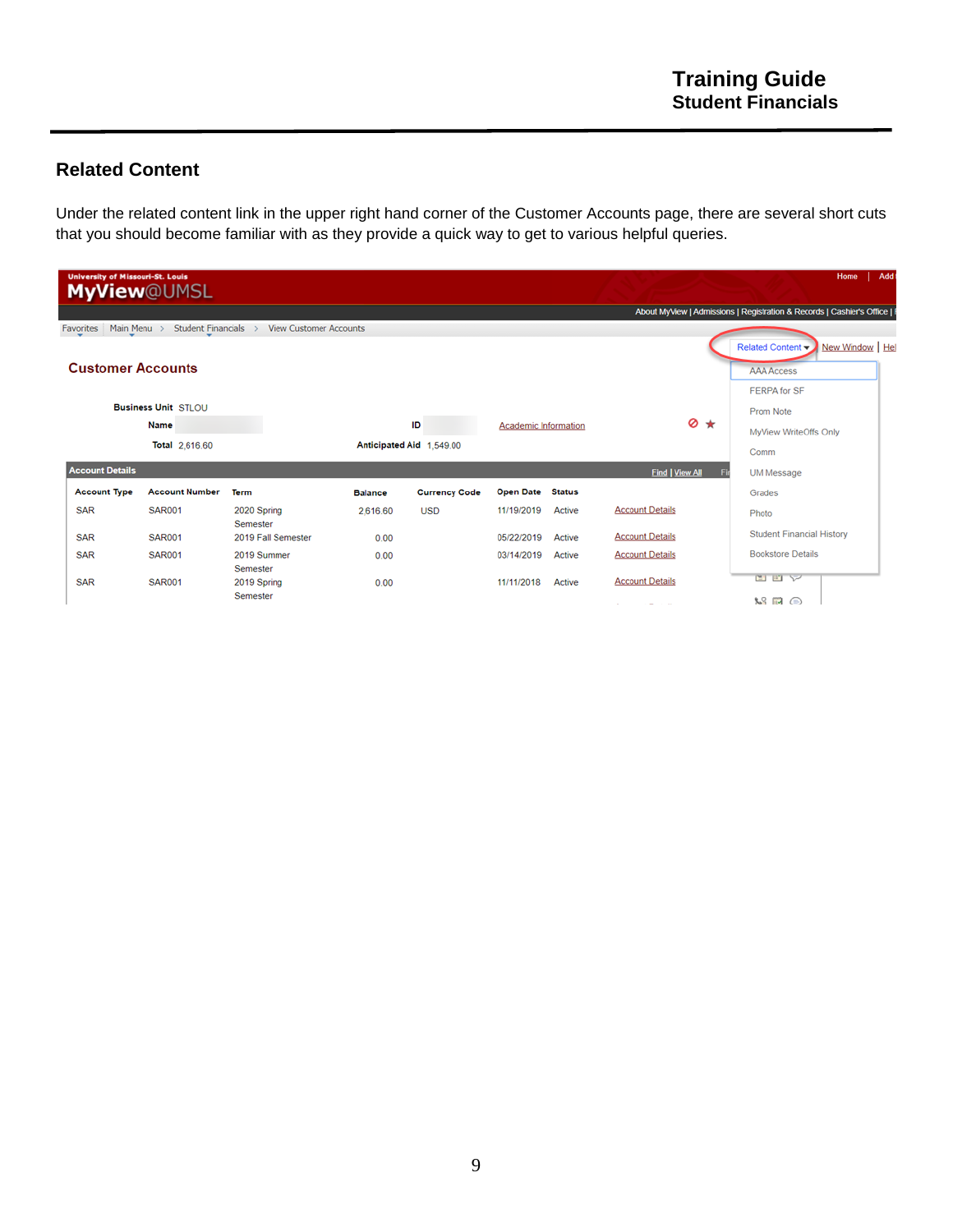### **Related Content**

Under the related content link in the upper right hand corner of the Customer Accounts page, there are several short cuts that you should become familiar with as they provide a quick way to get to various helpful queries.

|            |                        | <b>University of Missouri-St. Louis</b><br><b>MyView@UMSL</b> |                                |                |                          |                             |               |                                    | Add<br>Home<br>About MyView   Admissions   Registration & Records   Cashier's Office |
|------------|------------------------|---------------------------------------------------------------|--------------------------------|----------------|--------------------------|-----------------------------|---------------|------------------------------------|--------------------------------------------------------------------------------------|
| Favorites  | Main Menu >            | <b>Student Financials</b>                                     | <b>View Customer Accounts</b>  |                |                          |                             |               |                                    |                                                                                      |
|            |                        | <b>Customer Accounts</b>                                      |                                |                |                          |                             |               |                                    | New Window   Hel<br>Related Content -<br><b>AAA Access</b>                           |
|            |                        |                                                               |                                |                |                          |                             |               |                                    | <b>FERPA for SF</b>                                                                  |
|            |                        | <b>Business Unit STLOU</b>                                    |                                |                |                          |                             |               |                                    | Prom Note                                                                            |
|            |                        | <b>Name</b>                                                   |                                |                | ID                       | <b>Academic Information</b> |               | $\otimes$ $\star$                  | MyView WriteOffs Only                                                                |
|            |                        | Total 2,616.60                                                |                                |                | Anticipated Aid 1,549.00 |                             |               |                                    | Comm                                                                                 |
|            | <b>Account Details</b> |                                                               |                                |                |                          |                             |               | <b>Find   View All</b>             | UM Message                                                                           |
|            | <b>Account Type</b>    | <b>Account Number</b>                                         | <b>Term</b>                    | <b>Balance</b> | <b>Currency Code</b>     | <b>Open Date</b>            | <b>Status</b> |                                    | Grades                                                                               |
| <b>SAR</b> |                        | <b>SAR001</b>                                                 | 2020 Spring                    | 2,616.60       | <b>USD</b>               | 11/19/2019                  | Active        | <b>Account Details</b>             | Photo                                                                                |
| <b>SAR</b> |                        | <b>SAR001</b>                                                 | Semester<br>2019 Fall Semester |                |                          | 05/22/2019                  | Active        | <b>Account Details</b>             | <b>Student Financial History</b>                                                     |
|            |                        |                                                               |                                | 0.00           |                          |                             |               |                                    |                                                                                      |
| <b>SAR</b> |                        | <b>SAR001</b>                                                 | 2019 Summer                    | 0.00           |                          | 03/14/2019                  | Active        | <b>Account Details</b>             | <b>Bookstore Details</b>                                                             |
| <b>SAR</b> |                        | <b>SAR001</b>                                                 | Semester<br>2019 Spring        | 0.00           |                          | 11/11/2018                  | Active        | <b>Account Details</b>             | 四四平                                                                                  |
|            |                        |                                                               | Semester                       |                |                          |                             |               | $\overline{\phantom{0}}$<br>$\sim$ | $\mathbb{R}$ $\mathbb{R}$ $\odot$                                                    |